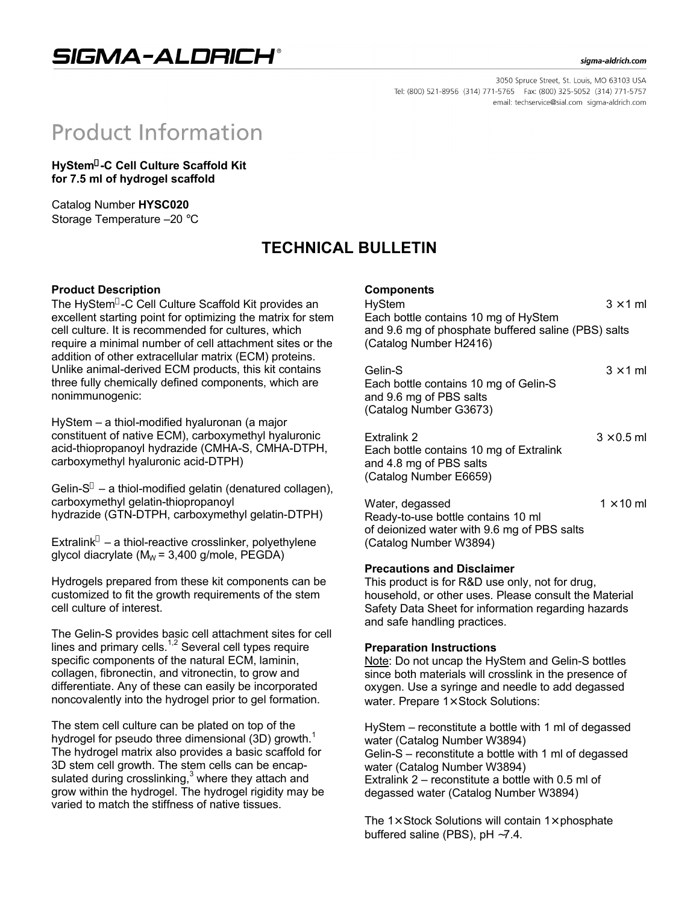SIGMA-ALDRICH®

#### sigma-aldrich.com

3050 Spruce Street, St. Louis, MO 63103 USA Tel: (800) 521-8956 (314) 771-5765 Fax: (800) 325-5052 (314) 771-5757 email: techservice@sial.com sigma-aldrich.com

# **Product Information**

**HyStem -C Cell Culture Scaffold Kit for 7.5 ml of hydrogel scaffold**

Catalog Number **HYSC020** Storage Temperature –20 °C

## **TECHNICAL BULLETIN**

#### **Product Description**

The HyStem®-C Cell Culture Scaffold Kit provides an excellent starting point for optimizing the matrix for stem cell culture. It is recommended for cultures, which require a minimal number of cell attachment sites or the addition of other extracellular matrix (ECM) proteins. Unlike animal-derived ECM products, this kit contains three fully chemically defined components, which are nonimmunogenic:

HyStem – a thiol-modified hyaluronan (a major constituent of native ECM), carboxymethyl hyaluronic acid-thiopropanoyl hydrazide (CMHA-S, CMHA-DTPH, carboxymethyl hyaluronic acid-DTPH)

Gelin- $S^*$  – a thiol-modified gelatin (denatured collagen), carboxymethyl gelatin-thiopropanoyl hydrazide (GTN-DTPH, carboxymethyl gelatin-DTPH)

Extralink $^{\circ}$  – a thiol-reactive crosslinker, polyethylene glycol diacrylate ( $M_W$  = 3,400 g/mole, PEGDA)

Hydrogels prepared from these kit components can be customized to fit the growth requirements of the stem cell culture of interest.

The Gelin-S provides basic cell attachment sites for cell lines and primary cells.<sup>1,2</sup> Several cell types require specific components of the natural ECM, laminin, collagen, fibronectin, and vitronectin, to grow and differentiate. Any of these can easily be incorporated noncovalently into the hydrogel prior to gel formation.

The stem cell culture can be plated on top of the hydrogel for pseudo three dimensional  $(3D)$  growth.<sup>1</sup> The hydrogel matrix also provides a basic scaffold for 3D stem cell growth. The stem cells can be encapsulated during crosslinking, $3$  where they attach and grow within the hydrogel. The hydrogel rigidity may be varied to match the stiffness of native tissues.

### **Components**

HyStem  $3 \times 1$  ml Each bottle contains 10 mg of HyStem and 9.6 mg of phosphate buffered saline (PBS) salts (Catalog Number H2416)

| Gelin-S                               | $3 \times 1$ ml |
|---------------------------------------|-----------------|
| Each bottle contains 10 mg of Gelin-S |                 |
| and 9.6 mg of PBS salts               |                 |
| (Catalog Number G3673)                |                 |

| Extralink 2                             | $3 \times 0.5$ ml |
|-----------------------------------------|-------------------|
| Each bottle contains 10 mg of Extralink |                   |
| and 4.8 mg of PBS salts                 |                   |
| (Catalog Number E6659)                  |                   |
|                                         |                   |

Water, degassed  $1 \times 10$  ml Ready-to-use bottle contains 10 ml of deionized water with 9.6 mg of PBS salts (Catalog Number W3894)

#### **Precautions and Disclaimer**

This product is for R&D use only, not for drug, household, or other uses. Please consult the Material Safety Data Sheet for information regarding hazards and safe handling practices.

#### **Preparation Instructions**

Note: Do not uncap the HyStem and Gelin-S bottles since both materials will crosslink in the presence of oxygen. Use a syringe and needle to add degassed water. Prepare 1× Stock Solutions:

HyStem – reconstitute a bottle with 1 ml of degassed water (Catalog Number W3894) Gelin-S – reconstitute a bottle with 1 ml of degassed water (Catalog Number W3894) Extralink 2 – reconstitute a bottle with 0.5 ml of degassed water (Catalog Number W3894)

The  $1\times$  Stock Solutions will contain  $1\times$  phosphate buffered saline (PBS), pH ∼7.4.